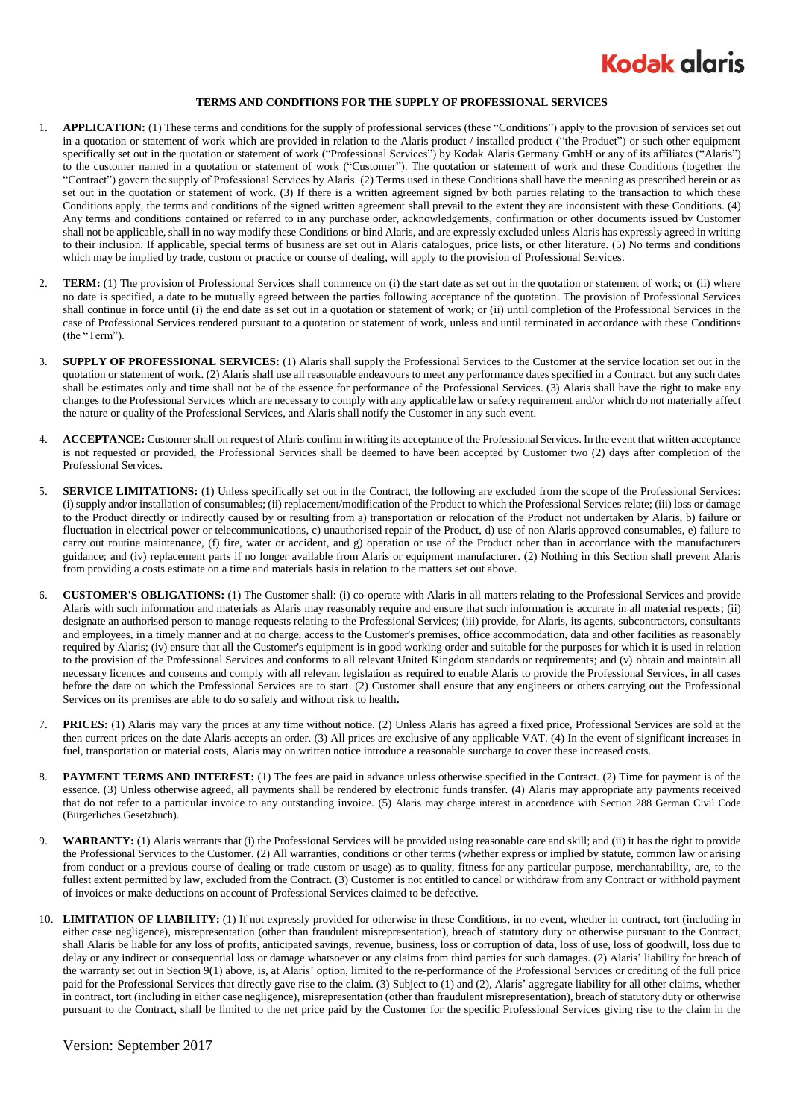## **Kodak glaris**

## **TERMS AND CONDITIONS FOR THE SUPPLY OF PROFESSIONAL SERVICES**

- 1. **APPLICATION:** (1) These terms and conditions for the supply of professional services (these "Conditions") apply to the provision of services set out in a quotation or statement of work which are provided in relation to the Alaris product / installed product ("the Product") or such other equipment specifically set out in the quotation or statement of work ("Professional Services") by Kodak Alaris Germany GmbH or any of its affiliates ("Alaris") to the customer named in a quotation or statement of work ("Customer"). The quotation or statement of work and these Conditions (together the "Contract") govern the supply of Professional Services by Alaris. (2) Terms used in these Conditions shall have the meaning as prescribed herein or as set out in the quotation or statement of work. (3) If there is a written agreement signed by both parties relating to the transaction to which these Conditions apply, the terms and conditions of the signed written agreement shall prevail to the extent they are inconsistent with these Conditions. (4) Any terms and conditions contained or referred to in any purchase order, acknowledgements, confirmation or other documents issued by Customer shall not be applicable, shall in no way modify these Conditions or bind Alaris, and are expressly excluded unless Alaris has expressly agreed in writing to their inclusion. If applicable, special terms of business are set out in Alaris catalogues, price lists, or other literature. (5) No terms and conditions which may be implied by trade, custom or practice or course of dealing, will apply to the provision of Professional Services.
- 2. **TERM:** (1) The provision of Professional Services shall commence on (i) the start date as set out in the quotation or statement of work; or (ii) where no date is specified, a date to be mutually agreed between the parties following acceptance of the quotation. The provision of Professional Services shall continue in force until (i) the end date as set out in a quotation or statement of work; or (ii) until completion of the Professional Services in the case of Professional Services rendered pursuant to a quotation or statement of work, unless and until terminated in accordance with these Conditions (the "Term").
- 3. **SUPPLY OF PROFESSIONAL SERVICES:** (1) Alaris shall supply the Professional Services to the Customer at the service location set out in the quotation or statement of work. (2) Alaris shall use all reasonable endeavours to meet any performance dates specified in a Contract, but any such dates shall be estimates only and time shall not be of the essence for performance of the Professional Services. (3) Alaris shall have the right to make any changes to the Professional Services which are necessary to comply with any applicable law or safety requirement and/or which do not materially affect the nature or quality of the Professional Services, and Alaris shall notify the Customer in any such event.
- 4. **ACCEPTANCE:** Customer shall on request of Alaris confirm in writing its acceptance of the Professional Services. In the event that written acceptance is not requested or provided, the Professional Services shall be deemed to have been accepted by Customer two (2) days after completion of the Professional Services.
- 5. **SERVICE LIMITATIONS:** (1) Unless specifically set out in the Contract, the following are excluded from the scope of the Professional Services: (i) supply and/or installation of consumables; (ii) replacement/modification of the Product to which the Professional Services relate; (iii) loss or damage to the Product directly or indirectly caused by or resulting from a) transportation or relocation of the Product not undertaken by Alaris, b) failure or fluctuation in electrical power or telecommunications, c) unauthorised repair of the Product, d) use of non Alaris approved consumables, e) failure to carry out routine maintenance, (f) fire, water or accident, and g) operation or use of the Product other than in accordance with the manufacturers guidance; and (iv) replacement parts if no longer available from Alaris or equipment manufacturer. (2) Nothing in this Section shall prevent Alaris from providing a costs estimate on a time and materials basis in relation to the matters set out above.
- 6. **CUSTOMER'S OBLIGATIONS:** (1) The Customer shall: (i) co-operate with Alaris in all matters relating to the Professional Services and provide Alaris with such information and materials as Alaris may reasonably require and ensure that such information is accurate in all material respects; (ii) designate an authorised person to manage requests relating to the Professional Services; (iii) provide, for Alaris, its agents, subcontractors, consultants and employees, in a timely manner and at no charge, access to the Customer's premises, office accommodation, data and other facilities as reasonably required by Alaris; (iv) ensure that all the Customer's equipment is in good working order and suitable for the purposes for which it is used in relation to the provision of the Professional Services and conforms to all relevant United Kingdom standards or requirements; and (v) obtain and maintain all necessary licences and consents and comply with all relevant legislation as required to enable Alaris to provide the Professional Services, in all cases before the date on which the Professional Services are to start. (2) Customer shall ensure that any engineers or others carrying out the Professional Services on its premises are able to do so safely and without risk to health**.**
- 7. **PRICES:** (1) Alaris may vary the prices at any time without notice. (2) Unless Alaris has agreed a fixed price, Professional Services are sold at the then current prices on the date Alaris accepts an order. (3) All prices are exclusive of any applicable VAT. (4) In the event of significant increases in fuel, transportation or material costs, Alaris may on written notice introduce a reasonable surcharge to cover these increased costs.
- 8. **PAYMENT TERMS AND INTEREST:** (1) The fees are paid in advance unless otherwise specified in the Contract. (2) Time for payment is of the essence. (3) Unless otherwise agreed, all payments shall be rendered by electronic funds transfer. (4) Alaris may appropriate any payments received that do not refer to a particular invoice to any outstanding invoice. (5) Alaris may charge interest in accordance with Section 288 German Civil Code (Bürgerliches Gesetzbuch).
- 9. **WARRANTY:** (1) Alaris warrants that (i) the Professional Services will be provided using reasonable care and skill; and (ii) it has the right to provide the Professional Services to the Customer. (2) All warranties, conditions or other terms (whether express or implied by statute, common law or arising from conduct or a previous course of dealing or trade custom or usage) as to quality, fitness for any particular purpose, merchantability, are, to the fullest extent permitted by law, excluded from the Contract. (3) Customer is not entitled to cancel or withdraw from any Contract or withhold payment of invoices or make deductions on account of Professional Services claimed to be defective.
- 10. **LIMITATION OF LIABILITY:** (1) If not expressly provided for otherwise in these Conditions, in no event, whether in contract, tort (including in either case negligence), misrepresentation (other than fraudulent misrepresentation), breach of statutory duty or otherwise pursuant to the Contract, shall Alaris be liable for any loss of profits, anticipated savings, revenue, business, loss or corruption of data, loss of use, loss of goodwill, loss due to delay or any indirect or consequential loss or damage whatsoever or any claims from third parties for such damages. (2) Alaris' liability for breach of the warranty set out in Section 9(1) above, is, at Alaris' option, limited to the re-performance of the Professional Services or crediting of the full price paid for the Professional Services that directly gave rise to the claim. (3) Subject to (1) and (2), Alaris' aggregate liability for all other claims, whether in contract, tort (including in either case negligence), misrepresentation (other than fraudulent misrepresentation), breach of statutory duty or otherwise pursuant to the Contract, shall be limited to the net price paid by the Customer for the specific Professional Services giving rise to the claim in the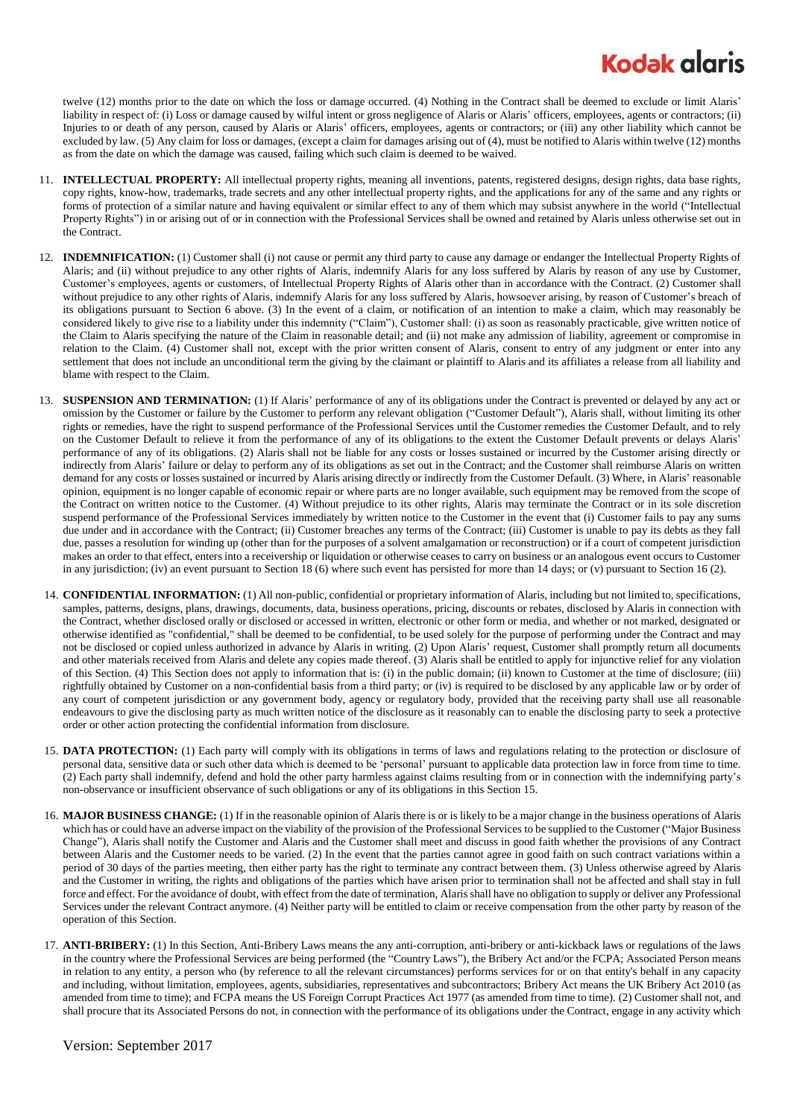## **Kodak glaris**

twelve (12) months prior to the date on which the loss or damage occurred. (4) Nothing in the Contract shall be deemed to exclude or limit Alaris' liability in respect of: (i) Loss or damage caused by wilful intent or gross negligence of Alaris or Alaris' officers, employees, agents or contractors; (ii) Injuries to or death of any person, caused by Alaris or Alaris' officers, employees, agents or contractors; or (iii) any other liability which cannot be excluded by law. (5) Any claim for loss or damages, (except a claim for damages arising out of (4), must be notified to Alaris within twelve (12) months as from the date on which the damage was caused, failing which such claim is deemed to be waived.

- 11. **INTELLECTUAL PROPERTY:** All intellectual property rights, meaning all inventions, patents, registered designs, design rights, data base rights, copy rights, know-how, trademarks, trade secrets and any other intellectual property rights, and the applications for any of the same and any rights or forms of protection of a similar nature and having equivalent or similar effect to any of them which may subsist anywhere in the world ("Intellectual Property Rights") in or arising out of or in connection with the Professional Services shall be owned and retained by Alaris unless otherwise set out in the Contract.
- 12. **INDEMNIFICATION:** (1) Customer shall (i) not cause or permit any third party to cause any damage or endanger the Intellectual Property Rights of Alaris; and (ii) without prejudice to any other rights of Alaris, indemnify Alaris for any loss suffered by Alaris by reason of any use by Customer, Customer's employees, agents or customers, of Intellectual Property Rights of Alaris other than in accordance with the Contract. (2) Customer shall without prejudice to any other rights of Alaris, indemnify Alaris for any loss suffered by Alaris, howsoever arising, by reason of Customer's breach of its obligations pursuant to Section 6 above. (3) In the event of a claim, or notification of an intention to make a claim, which may reasonably be considered likely to give rise to a liability under this indemnity ("Claim"), Customer shall: (i) as soon as reasonably practicable, give written notice of the Claim to Alaris specifying the nature of the Claim in reasonable detail; and (ii) not make any admission of liability, agreement or compromise in relation to the Claim. (4) Customer shall not, except with the prior written consent of Alaris, consent to entry of any judgment or enter into any settlement that does not include an unconditional term the giving by the claimant or plaintiff to Alaris and its affiliates a release from all liability and blame with respect to the Claim.
- 13. **SUSPENSION AND TERMINATION:** (1) If Alaris' performance of any of its obligations under the Contract is prevented or delayed by any act or omission by the Customer or failure by the Customer to perform any relevant obligation ("Customer Default"), Alaris shall, without limiting its other rights or remedies, have the right to suspend performance of the Professional Services until the Customer remedies the Customer Default, and to rely on the Customer Default to relieve it from the performance of any of its obligations to the extent the Customer Default prevents or delays Alaris' performance of any of its obligations. (2) Alaris shall not be liable for any costs or losses sustained or incurred by the Customer arising directly or indirectly from Alaris' failure or delay to perform any of its obligations as set out in the Contract; and the Customer shall reimburse Alaris on written demand for any costs or losses sustained or incurred by Alaris arising directly or indirectly from the Customer Default. (3) Where, in Alaris' reasonable opinion, equipment is no longer capable of economic repair or where parts are no longer available, such equipment may be removed from the scope of the Contract on written notice to the Customer. (4) Without prejudice to its other rights, Alaris may terminate the Contract or in its sole discretion suspend performance of the Professional Services immediately by written notice to the Customer in the event that (i) Customer fails to pay any sums due under and in accordance with the Contract; (ii) Customer breaches any terms of the Contract; (iii) Customer is unable to pay its debts as they fall due, passes a resolution for winding up (other than for the purposes of a solvent amalgamation or reconstruction) or if a court of competent jurisdiction makes an order to that effect, enters into a receivership or liquidation or otherwise ceases to carry on business or an analogous event occurs to Customer in any jurisdiction; (iv) an event pursuant to Section 18 (6) where such event has persisted for more than 14 days; or (v) pursuant to Sectio[n 16](#page-1-0) (2).
- 14. **CONFIDENTIAL INFORMATION:** (1) All non-public, confidential or proprietary information of Alaris, including but not limited to, specifications, samples, patterns, designs, plans, drawings, documents, data, business operations, pricing, discounts or rebates, disclosed by Alaris in connection with the Contract, whether disclosed orally or disclosed or accessed in written, electronic or other form or media, and whether or not marked, designated or otherwise identified as "confidential," shall be deemed to be confidential, to be used solely for the purpose of performing under the Contract and may not be disclosed or copied unless authorized in advance by Alaris in writing. (2) Upon Alaris' request, Customer shall promptly return all documents and other materials received from Alaris and delete any copies made thereof. (3) Alaris shall be entitled to apply for injunctive relief for any violation of this Section. (4) This Section does not apply to information that is: (i) in the public domain; (ii) known to Customer at the time of disclosure; (iii) rightfully obtained by Customer on a non-confidential basis from a third party; or (iv) is required to be disclosed by any applicable law or by order of any court of competent jurisdiction or any government body, agency or regulatory body, provided that the receiving party shall use all reasonable endeavours to give the disclosing party as much written notice of the disclosure as it reasonably can to enable the disclosing party to seek a protective order or other action protecting the confidential information from disclosure.
- <span id="page-1-1"></span>15. DATA PROTECTION: (1) Each party will comply with its obligations in terms of laws and regulations relating to the protection or disclosure of personal data, sensitive data or such other data which is deemed to be 'personal' pursuant to applicable data protection law in force from time to time. (2) Each party shall indemnify, defend and hold the other party harmless against claims resulting from or in connection with the indemnifying party's non-observance or insufficient observance of such obligations or any of its obligations in this Sectio[n 15.](#page-1-1)
- <span id="page-1-0"></span>16. **MAJOR BUSINESS CHANGE:** (1) If in the reasonable opinion of Alaris there is or is likely to be a major change in the business operations of Alaris which has or could have an adverse impact on the viability of the provision of the Professional Services to be supplied to the Customer ("Major Business Change"), Alaris shall notify the Customer and Alaris and the Customer shall meet and discuss in good faith whether the provisions of any Contract between Alaris and the Customer needs to be varied. (2) In the event that the parties cannot agree in good faith on such contract variations within a period of 30 days of the parties meeting, then either party has the right to terminate any contract between them. (3) Unless otherwise agreed by Alaris and the Customer in writing, the rights and obligations of the parties which have arisen prior to termination shall not be affected and shall stay in full force and effect. For the avoidance of doubt, with effect from the date of termination, Alaris shall have no obligation to supply or deliver any Professional Services under the relevant Contract anymore. (4) Neither party will be entitled to claim or receive compensation from the other party by reason of the operation of this Section.
- 17. **ANTI-BRIBERY:** (1) In this Section, Anti-Bribery Laws means the any anti-corruption, anti-bribery or anti-kickback laws or regulations of the laws in the country where the Professional Services are being performed (the "Country Laws"), the Bribery Act and/or the FCPA; Associated Person means in relation to any entity, a person who (by reference to all the relevant circumstances) performs services for or on that entity's behalf in any capacity and including, without limitation, employees, agents, subsidiaries, representatives and subcontractors; Bribery Act means the UK Bribery Act 2010 (as amended from time to time); and FCPA means the US Foreign Corrupt Practices Act 1977 (as amended from time to time). (2) Customer shall not, and shall procure that its Associated Persons do not, in connection with the performance of its obligations under the Contract, engage in any activity which